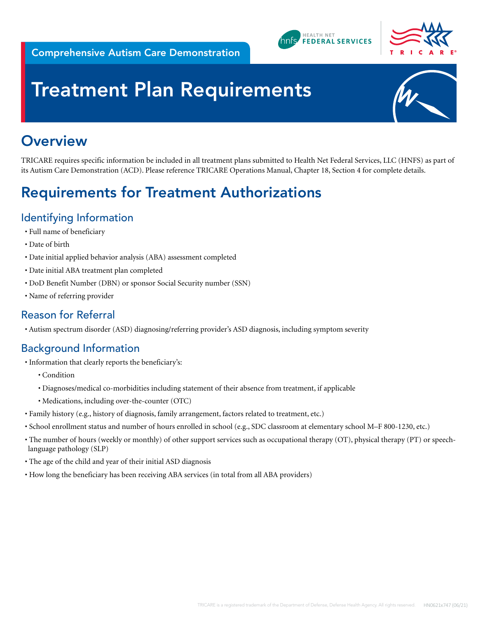



# **Treatment Plan Requirements**



## **Overview**

TRICARE requires specific information be included in all treatment plans submitted to Health Net Federal Services, LLC (HNFS) as part of its Autism Care Demonstration (ACD). Please reference TRICARE Operations Manual, Chapter 18, Section 4 for complete details.

## Requirements for Treatment Authorizations

### Identifying Information

- Full name of beneficiary
- Date of birth
- Date initial applied behavior analysis (ABA) assessment completed
- Date initial ABA treatment plan completed
- DoD Benefit Number (DBN) or sponsor Social Security number (SSN)
- Name of referring provider

#### Reason for Referral

• Autism spectrum disorder (ASD) diagnosing/referring provider's ASD diagnosis, including symptom severity

#### Background Information

- Information that clearly reports the beneficiary's:
	- Condition
	- Diagnoses/medical co-morbidities including statement of their absence from treatment, if applicable
	- Medications, including over-the-counter (OTC)
- Family history (e.g., history of diagnosis, family arrangement, factors related to treatment, etc.)
- School enrollment status and number of hours enrolled in school (e.g., SDC classroom at elementary school M–F 800-1230, etc.)
- The number of hours (weekly or monthly) of other support services such as occupational therapy (OT), physical therapy (PT) or speechlanguage pathology (SLP)
- The age of the child and year of their initial ASD diagnosis
- How long the beneficiary has been receiving ABA services (in total from all ABA providers)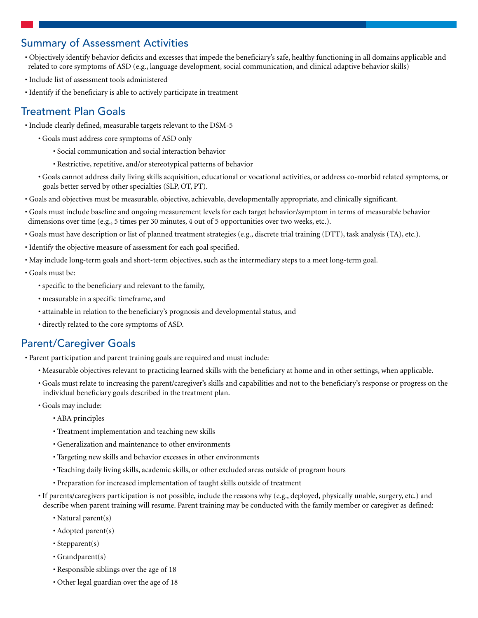#### Summary of Assessment Activities

- Objectively identify behavior deficits and excesses that impede the beneficiary's safe, healthy functioning in all domains applicable and related to core symptoms of ASD (e.g., language development, social communication, and clinical adaptive behavior skills)
- Include list of assessment tools administered
- Identify if the beneficiary is able to actively participate in treatment

#### Treatment Plan Goals

- Include clearly defined, measurable targets relevant to the DSM-5
	- Goals must address core symptoms of ASD only
		- Social communication and social interaction behavior
		- Restrictive, repetitive, and/or stereotypical patterns of behavior
	- Goals cannot address daily living skills acquisition, educational or vocational activities, or address co-morbid related symptoms, or goals better served by other specialties (SLP, OT, PT).
- Goals and objectives must be measurable, objective, achievable, developmentally appropriate, and clinically significant.
- Goals must include baseline and ongoing measurement levels for each target behavior/symptom in terms of measurable behavior dimensions over time (e.g., 5 times per 30 minutes, 4 out of 5 opportunities over two weeks, etc.).
- Goals must have description or list of planned treatment strategies (e.g., discrete trial training (DTT), task analysis (TA), etc.).
- Identify the objective measure of assessment for each goal specified.
- May include long-term goals and short-term objectives, such as the intermediary steps to a meet long-term goal.
- Goals must be:
	- specific to the beneficiary and relevant to the family,
	- measurable in a specific timeframe, and
	- attainable in relation to the beneficiary's prognosis and developmental status, and
	- directly related to the core symptoms of ASD.

#### Parent/Caregiver Goals

- Parent participation and parent training goals are required and must include:
	- Measurable objectives relevant to practicing learned skills with the beneficiary at home and in other settings, when applicable.
	- Goals must relate to increasing the parent/caregiver's skills and capabilities and not to the beneficiary's response or progress on the individual beneficiary goals described in the treatment plan.
	- Goals may include:
		- ABA principles
		- Treatment implementation and teaching new skills
		- Generalization and maintenance to other environments
		- Targeting new skills and behavior excesses in other environments
		- Teaching daily living skills, academic skills, or other excluded areas outside of program hours
		- Preparation for increased implementation of taught skills outside of treatment
	- If parents/caregivers participation is not possible, include the reasons why (e.g., deployed, physically unable, surgery, etc.) and describe when parent training will resume. Parent training may be conducted with the family member or caregiver as defined:
		- Natural parent(s)
		- Adopted parent(s)
		- Stepparent(s)
		- Grandparent(s)
		- Responsible siblings over the age of 18
		- Other legal guardian over the age of 18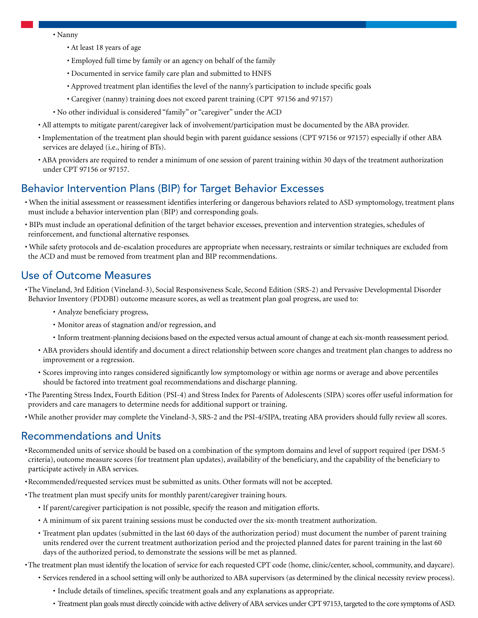- Nanny
	- At least 18 years of age
	- Employed full time by family or an agency on behalf of the family
	- Documented in service family care plan and submitted to HNFS
	- Approved treatment plan identifies the level of the nanny's participation to include specific goals
	- Caregiver (nanny) training does not exceed parent training (CPT 97156 and 97157)
- No other individual is considered "family" or "caregiver" under the ACD
- All attempts to mitigate parent/caregiver lack of involvement/participation must be documented by the ABA provider.
- Implementation of the treatment plan should begin with parent guidance sessions (CPT 97156 or 97157) especially if other ABA services are delayed (i.e., hiring of BTs).
- ABA providers are required to render a minimum of one session of parent training within 30 days of the treatment authorization under CPT 97156 or 97157.

#### Behavior Intervention Plans (BIP) for Target Behavior Excesses

- When the initial assessment or reassessment identifies interfering or dangerous behaviors related to ASD symptomology, treatment plans must include a behavior intervention plan (BIP) and corresponding goals.
- BIPs must include an operational definition of the target behavior excesses, prevention and intervention strategies, schedules of reinforcement, and functional alternative responses.
- While safety protocols and de-escalation procedures are appropriate when necessary, restraints or similar techniques are excluded from the ACD and must be removed from treatment plan and BIP recommendations.

#### Use of Outcome Measures

- •The Vineland, 3rd Edition (Vineland-3), Social Responsiveness Scale, Second Edition (SRS-2) and Pervasive Developmental Disorder Behavior Inventory (PDDBI) outcome measure scores, as well as treatment plan goal progress, are used to:
	- Analyze beneficiary progress,
	- Monitor areas of stagnation and/or regression, and
	- Inform treatment-planning decisions based on the expected versus actual amount of change at each six-month reassessment period.
	- ABA providers should identify and document a direct relationship between score changes and treatment plan changes to address no improvement or a regression.
	- Scores improving into ranges considered significantly low symptomology or within age norms or average and above percentiles should be factored into treatment goal recommendations and discharge planning.
- •The Parenting Stress Index, Fourth Edition (PSI-4) and Stress Index for Parents of Adolescents (SIPA) scores offer useful information for providers and care managers to determine needs for additional support or training.
- •While another provider may complete the Vineland-3, SRS-2 and the PSI-4/SIPA, treating ABA providers should fully review all scores.

#### Recommendations and Units

- •Recommended units of service should be based on a combination of the symptom domains and level of support required (per DSM-5 criteria), outcome measure scores (for treatment plan updates), availability of the beneficiary, and the capability of the beneficiary to participate actively in ABA services.
- •Recommended/requested services must be submitted as units. Other formats will not be accepted.
- •The treatment plan must specify units for monthly parent/caregiver training hours.
	- If parent/caregiver participation is not possible, specify the reason and mitigation efforts.
	- A minimum of six parent training sessions must be conducted over the six-month treatment authorization.
	- Treatment plan updates (submitted in the last 60 days of the authorization period) must document the number of parent training units rendered over the current treatment authorization period and the projected planned dates for parent training in the last 60 days of the authorized period, to demonstrate the sessions will be met as planned.
- •The treatment plan must identify the location of service for each requested CPT code (home, clinic/center, school, community, and daycare).
	- Services rendered in a school setting will only be authorized to ABA supervisors (as determined by the clinical necessity review process).
		- Include details of timelines, specific treatment goals and any explanations as appropriate.
		- Treatment plan goals must directly coincide with active delivery of ABA services under CPT 97153, targeted to the core symptoms of ASD.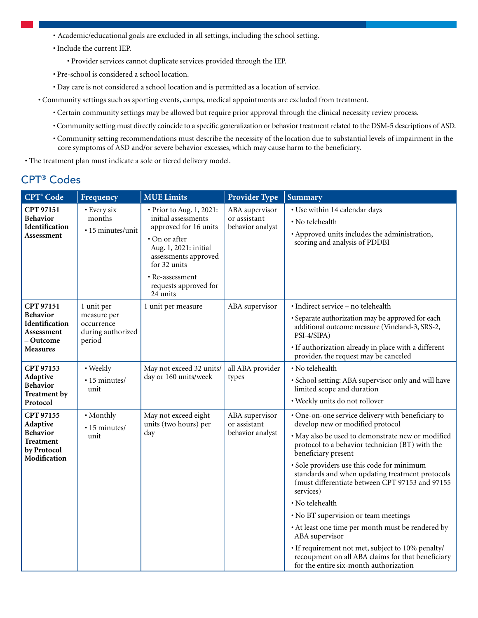- Academic/educational goals are excluded in all settings, including the school setting.
- Include the current IEP.
	- Provider services cannot duplicate services provided through the IEP.
- Pre-school is considered a school location.
- Day care is not considered a school location and is permitted as a location of service.
- Community settings such as sporting events, camps, medical appointments are excluded from treatment.
	- Certain community settings may be allowed but require prior approval through the clinical necessity review process.
	- Community setting must directly coincide to a specific generalization or behavior treatment related to the DSM-5 descriptions of ASD.
	- Community setting recommendations must describe the necessity of the location due to substantial levels of impairment in the core symptoms of ASD and/or severe behavior excesses, which may cause harm to the beneficiary.

• The treatment plan must indicate a sole or tiered delivery model.

### CPT® Codes

| <b>CPT<sup>®</sup></b> Code                                                                  | Frequency                                                              | <b>MUE Limits</b>                                                                                                                                                                                                  | <b>Provider Type</b>                               | <b>Summary</b>                                                                                                                                                                                                                                                                                                                                                                                                                                                                                                                                                                                                                                                              |
|----------------------------------------------------------------------------------------------|------------------------------------------------------------------------|--------------------------------------------------------------------------------------------------------------------------------------------------------------------------------------------------------------------|----------------------------------------------------|-----------------------------------------------------------------------------------------------------------------------------------------------------------------------------------------------------------------------------------------------------------------------------------------------------------------------------------------------------------------------------------------------------------------------------------------------------------------------------------------------------------------------------------------------------------------------------------------------------------------------------------------------------------------------------|
| CPT 97151<br><b>Behavior</b><br>Identification<br>Assessment                                 | · Every six<br>months<br>· 15 minutes/unit                             | · Prior to Aug. 1, 2021:<br>initial assessments<br>approved for 16 units<br>• On or after<br>Aug. 1, 2021: initial<br>assessments approved<br>for 32 units<br>• Re-assessment<br>requests approved for<br>24 units | ABA supervisor<br>or assistant<br>behavior analyst | • Use within 14 calendar days<br>• No telehealth<br>• Approved units includes the administration,<br>scoring and analysis of PDDBI                                                                                                                                                                                                                                                                                                                                                                                                                                                                                                                                          |
| CPT 97151<br><b>Behavior</b><br>Identification<br>Assessment<br>– Outcome<br><b>Measures</b> | 1 unit per<br>measure per<br>occurrence<br>during authorized<br>period | 1 unit per measure                                                                                                                                                                                                 | ABA supervisor                                     | · Indirect service - no telehealth<br>• Separate authorization may be approved for each<br>additional outcome measure (Vineland-3, SRS-2,<br>PSI-4/SIPA)<br>• If authorization already in place with a different<br>provider, the request may be canceled                                                                                                                                                                                                                                                                                                                                                                                                                   |
| CPT 97153<br>Adaptive<br><b>Behavior</b><br>Treatment by<br>Protocol                         | • Weekly<br>· 15 minutes/<br>unit                                      | May not exceed 32 units/<br>day or 160 units/week                                                                                                                                                                  | all ABA provider<br>types                          | · No telehealth<br>· School setting: ABA supervisor only and will have<br>limited scope and duration<br>· Weekly units do not rollover                                                                                                                                                                                                                                                                                                                                                                                                                                                                                                                                      |
| CPT 97155<br>Adaptive<br><b>Behavior</b><br><b>Treatment</b><br>by Protocol<br>Modification  | • Monthly<br>· 15 minutes/<br>unit                                     | May not exceed eight<br>units (two hours) per<br>day                                                                                                                                                               | ABA supervisor<br>or assistant<br>behavior analyst | · One-on-one service delivery with beneficiary to<br>develop new or modified protocol<br>· May also be used to demonstrate new or modified<br>protocol to a behavior technician (BT) with the<br>beneficiary present<br>· Sole providers use this code for minimum<br>standards and when updating treatment protocols<br>(must differentiate between CPT 97153 and 97155<br>services)<br>• No telehealth<br>• No BT supervision or team meetings<br>• At least one time per month must be rendered by<br>ABA supervisor<br>• If requirement not met, subject to 10% penalty/<br>recoupment on all ABA claims for that beneficiary<br>for the entire six-month authorization |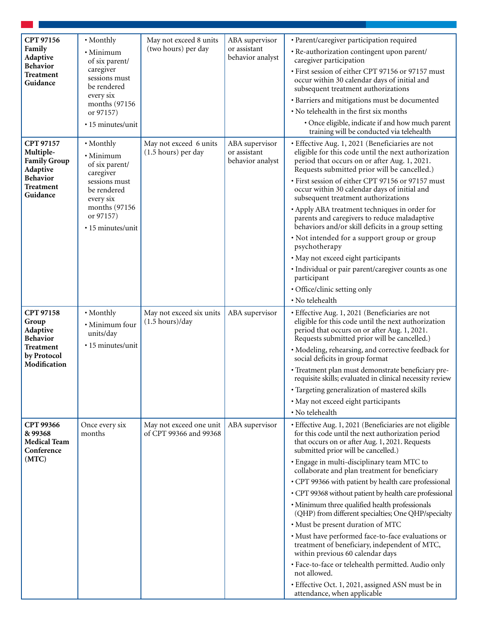| CPT 97156                                                        | • Monthly                                                                                     | May not exceed 8 units                                 | ABA supervisor                                     | · Parent/caregiver participation required                                                                                                                                                              |  |
|------------------------------------------------------------------|-----------------------------------------------------------------------------------------------|--------------------------------------------------------|----------------------------------------------------|--------------------------------------------------------------------------------------------------------------------------------------------------------------------------------------------------------|--|
| Family<br>Adaptive                                               | · Minimum<br>of six parent/                                                                   | (two hours) per day                                    | or assistant<br>behavior analyst                   | · Re-authorization contingent upon parent/<br>caregiver participation                                                                                                                                  |  |
| <b>Behavior</b><br>Treatment                                     | caregiver                                                                                     |                                                        |                                                    | · First session of either CPT 97156 or 97157 must                                                                                                                                                      |  |
| Guidance                                                         | sessions must<br>be rendered                                                                  |                                                        |                                                    | occur within 30 calendar days of initial and<br>subsequent treatment authorizations                                                                                                                    |  |
|                                                                  | every six<br>months (97156)                                                                   |                                                        |                                                    | · Barriers and mitigations must be documented                                                                                                                                                          |  |
|                                                                  | or 97157)                                                                                     |                                                        |                                                    | • No telehealth in the first six months                                                                                                                                                                |  |
|                                                                  | · 15 minutes/unit                                                                             |                                                        |                                                    | · Once eligible, indicate if and how much parent<br>training will be conducted via telehealth                                                                                                          |  |
| CPT 97157<br>Multiple-<br><b>Family Group</b><br>Adaptive        | • Monthly<br>· Minimum<br>of six parent/<br>caregiver                                         | May not exceed 6 units<br>(1.5 hours) per day          | ABA supervisor<br>or assistant<br>behavior analyst | · Effective Aug. 1, 2021 (Beneficiaries are not<br>eligible for this code until the next authorization<br>period that occurs on or after Aug. 1, 2021.<br>Requests submitted prior will be cancelled.) |  |
| <b>Behavior</b><br><b>Treatment</b><br>Guidance                  | sessions must<br>be rendered<br>every six<br>months (97156)<br>or 97157)<br>• 15 minutes/unit |                                                        |                                                    | · First session of either CPT 97156 or 97157 must<br>occur within 30 calendar days of initial and<br>subsequent treatment authorizations                                                               |  |
|                                                                  |                                                                                               |                                                        |                                                    | • Apply ABA treatment techniques in order for<br>parents and caregivers to reduce maladaptive<br>behaviors and/or skill deficits in a group setting                                                    |  |
|                                                                  |                                                                                               |                                                        |                                                    | • Not intended for a support group or group<br>psychotherapy                                                                                                                                           |  |
|                                                                  |                                                                                               |                                                        |                                                    | · May not exceed eight participants                                                                                                                                                                    |  |
|                                                                  |                                                                                               |                                                        |                                                    | · Individual or pair parent/caregiver counts as one<br>participant                                                                                                                                     |  |
|                                                                  |                                                                                               |                                                        |                                                    | · Office/clinic setting only                                                                                                                                                                           |  |
|                                                                  |                                                                                               |                                                        |                                                    | · No telehealth                                                                                                                                                                                        |  |
| CPT 97158<br>Group<br>Adaptive<br><b>Behavior</b>                | • Monthly<br>· Minimum four<br>units/day                                                      | May not exceed six units<br>$(1.5 \text{ hours})$ /day | ABA supervisor                                     | · Effective Aug. 1, 2021 (Beneficiaries are not<br>eligible for this code until the next authorization<br>period that occurs on or after Aug. 1, 2021.<br>Requests submitted prior will be cancelled.) |  |
| Treatment<br>by Protocol                                         | • 15 minutes/unit                                                                             |                                                        |                                                    | · Modeling, rehearsing, and corrective feedback for<br>social deficits in group format                                                                                                                 |  |
| Modification                                                     |                                                                                               |                                                        |                                                    | · Treatment plan must demonstrate beneficiary pre-<br>requisite skills; evaluated in clinical necessity review                                                                                         |  |
|                                                                  |                                                                                               |                                                        |                                                    | · Targeting generalization of mastered skills                                                                                                                                                          |  |
|                                                                  |                                                                                               |                                                        |                                                    | · May not exceed eight participants                                                                                                                                                                    |  |
|                                                                  |                                                                                               |                                                        |                                                    | • No telehealth                                                                                                                                                                                        |  |
| <b>CPT 99366</b><br>& 99368<br><b>Medical Team</b><br>Conference | Once every six<br>months                                                                      | May not exceed one unit<br>of CPT 99366 and 99368      | ABA supervisor                                     | · Effective Aug. 1, 2021 (Beneficiaries are not eligible<br>for this code until the next authorization period<br>that occurs on or after Aug. 1, 2021. Requests<br>submitted prior will be cancelled.) |  |
| (MTC)                                                            |                                                                                               |                                                        |                                                    | · Engage in multi-disciplinary team MTC to<br>collaborate and plan treatment for beneficiary                                                                                                           |  |
|                                                                  |                                                                                               |                                                        |                                                    | • CPT 99366 with patient by health care professional                                                                                                                                                   |  |
|                                                                  |                                                                                               |                                                        |                                                    | • CPT 99368 without patient by health care professional                                                                                                                                                |  |
|                                                                  |                                                                                               |                                                        |                                                    | • Minimum three qualified health professionals<br>(QHP) from different specialties; One QHP/specialty                                                                                                  |  |
|                                                                  |                                                                                               |                                                        |                                                    | · Must be present duration of MTC                                                                                                                                                                      |  |
|                                                                  |                                                                                               |                                                        |                                                    | • Must have performed face-to-face evaluations or<br>treatment of beneficiary, independent of MTC,<br>within previous 60 calendar days                                                                 |  |
|                                                                  |                                                                                               |                                                        |                                                    | · Face-to-face or telehealth permitted. Audio only<br>not allowed.                                                                                                                                     |  |
|                                                                  |                                                                                               |                                                        |                                                    | · Effective Oct. 1, 2021, assigned ASN must be in<br>attendance, when applicable                                                                                                                       |  |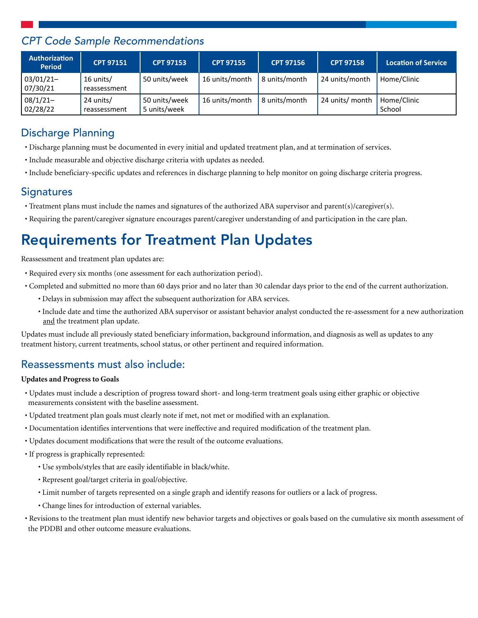### *CPT Code Sample Recommendations*

| <b>Authorization</b><br><b>Period</b> | <b>CPT 97151</b>          | <b>CPT 97153</b>              | <b>CPT 97155</b> | <b>CPT 97156</b> | <b>CPT 97158</b> | <b>Location of Service</b> |
|---------------------------------------|---------------------------|-------------------------------|------------------|------------------|------------------|----------------------------|
| $03/01/21 -$<br>07/30/21              | 16 units/<br>reassessment | 50 units/week                 | 16 units/month   | 8 units/month    | 24 units/month   | Home/Clinic                |
| $08/1/21-$<br>02/28/22                | 24 units/<br>reassessment | 50 units/week<br>5 units/week | 16 units/month   | 8 units/month    | 24 units/ month  | Home/Clinic<br>School      |

### Discharge Planning

- Discharge planning must be documented in every initial and updated treatment plan, and at termination of services.
- Include measurable and objective discharge criteria with updates as needed.
- Include beneficiary-specific updates and references in discharge planning to help monitor on going discharge criteria progress.

#### **Signatures**

- Treatment plans must include the names and signatures of the authorized ABA supervisor and parent(s)/caregiver(s).
- Requiring the parent/caregiver signature encourages parent/caregiver understanding of and participation in the care plan.

## Requirements for Treatment Plan Updates

Reassessment and treatment plan updates are:

- Required every six months (one assessment for each authorization period).
- Completed and submitted no more than 60 days prior and no later than 30 calendar days prior to the end of the current authorization.
	- Delays in submission may affect the subsequent authorization for ABA services.
	- Include date and time the authorized ABA supervisor or assistant behavior analyst conducted the re-assessment for a new authorization and the treatment plan update.

Updates must include all previously stated beneficiary information, background information, and diagnosis as well as updates to any treatment history, current treatments, school status, or other pertinent and required information.

#### Reassessments must also include:

#### **Updates and Progress to Goals**

- Updates must include a description of progress toward short- and long-term treatment goals using either graphic or objective measurements consistent with the baseline assessment.
- Updated treatment plan goals must clearly note if met, not met or modified with an explanation.
- Documentation identifies interventions that were ineffective and required modification of the treatment plan.
- Updates document modifications that were the result of the outcome evaluations.
- If progress is graphically represented:
	- Use symbols/styles that are easily identifiable in black/white.
	- Represent goal/target criteria in goal/objective.
	- Limit number of targets represented on a single graph and identify reasons for outliers or a lack of progress.
	- Change lines for introduction of external variables.
- Revisions to the treatment plan must identify new behavior targets and objectives or goals based on the cumulative six month assessment of the PDDBI and other outcome measure evaluations.